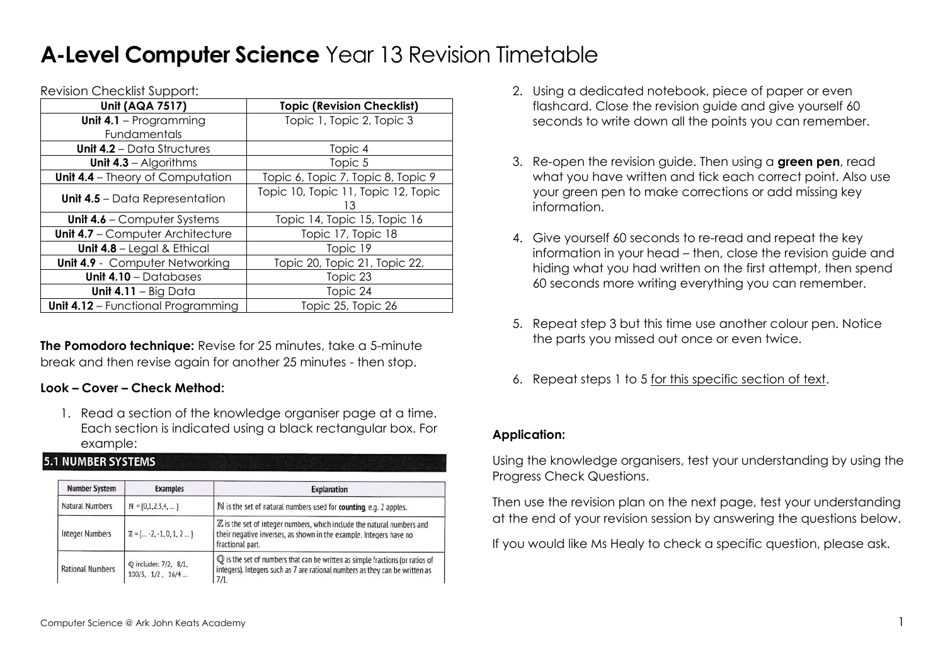## **A-Level Computer Science** Year 13 Revision Timetable

Revision Checklist Support:

| <b>Unit (AQA 7517)</b>                    | <b>Topic (Revision Checklist)</b>   |  |  |
|-------------------------------------------|-------------------------------------|--|--|
| Unit $4.1$ – Programming                  | Topic 1, Topic 2, Topic 3           |  |  |
| Fundamentals                              |                                     |  |  |
| <b>Unit 4.2</b> – Data Structures         | Topic 4                             |  |  |
| Unit $4.3$ – Algorithms                   | Topic 5                             |  |  |
| <b>Unit 4.4</b> – Theory of Computation   | Topic 6, Topic 7, Topic 8, Topic 9  |  |  |
|                                           | Topic 10, Topic 11, Topic 12, Topic |  |  |
| <b>Unit 4.5</b> – Data Representation     | 13                                  |  |  |
| <b>Unit 4.6 – Computer Systems</b>        | Topic 14, Topic 15, Topic 16        |  |  |
| <b>Unit 4.7 - Computer Architecture</b>   | Topic 17, Topic 18                  |  |  |
| Unit 4.8 - Legal & Ethical                | Topic 19                            |  |  |
| <b>Unit 4.9</b> - Computer Networking     | Topic 20, Topic 21, Topic 22,       |  |  |
| Unit $4.10 -$ Databases                   | Topic 23                            |  |  |
| Unit 4.11 $-$ Big Data                    | Topic 24                            |  |  |
| <b>Unit 4.12 - Functional Programming</b> | Topic 25, Topic 26                  |  |  |

**The Pomodoro technique:** Revise for 25 minutes, take a 5-minute break and then revise again for another 25 minutes - then stop.

## **Look – Cover – Check Method:**

1. Read a section of the knowledge organiser page at a time. Each section is indicated using a black rectangular box. For example:

## **5.1 NUMBER SYSTEMS**

| <b>Number System</b><br><b>Examples</b><br>Natural Numbers<br>$N = \{0, 1, 2, 3, 4, \dots\}$ |  | <b>Explanation</b><br>N is the set of natural numbers used for counting, e.g. 2 apples.                                                                                        |  |  |
|----------------------------------------------------------------------------------------------|--|--------------------------------------------------------------------------------------------------------------------------------------------------------------------------------|--|--|
|                                                                                              |  |                                                                                                                                                                                |  |  |
| <b>Q</b> includes: 7/2, 8/1,<br><b>Rational Numbers</b><br>$100/3$ , $1/2$ , $16/4$          |  | $\mathbb Q$ is the set of numbers that can be written as simple fractions (or ratios of<br>integers). Integers such as 7 are rational numbers as they can be written as<br>7/1 |  |  |

- 2. Using a dedicated notebook, piece of paper or even flashcard. Close the revision guide and give yourself 60 seconds to write down all the points you can remember.
- 3. Re-open the revision guide. Then using a **green pen**, read what you have written and tick each correct point. Also use your green pen to make corrections or add missing key information.
- 4. Give yourself 60 seconds to re-read and repeat the key information in your head – then, close the revision guide and hiding what you had written on the first attempt, then spend 60 seconds more writing everything you can remember.
- 5. Repeat step 3 but this time use another colour pen. Notice the parts you missed out once or even twice.
- 6. Repeat steps 1 to 5 for this specific section of text.

## **Application:**

Using the knowledge organisers, test your understanding by using the Progress Check Questions.

Then use the revision plan on the next page, test your understanding at the end of your revision session by answering the questions below.

If you would like Ms Healy to check a specific question, please ask.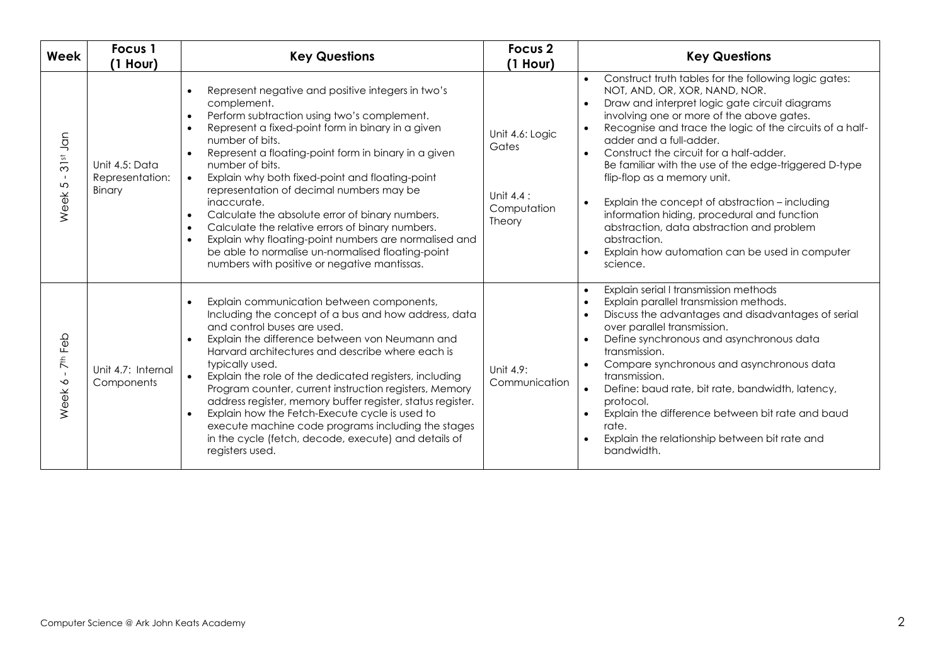| Week                                                                        | Focus 1<br>$(1$ Hour)                       | <b>Key Questions</b>                                                                                                                                                                                                                                                                                                                                                                                                                                                                                                                                                                                                                                                                                                                             | Focus <sub>2</sub><br>$(1$ Hour)                                  | <b>Key Questions</b>                                                                                                                                                                                                                                                                                                                                                                                                                                                                                                                                                                                                                                                                                         |
|-----------------------------------------------------------------------------|---------------------------------------------|--------------------------------------------------------------------------------------------------------------------------------------------------------------------------------------------------------------------------------------------------------------------------------------------------------------------------------------------------------------------------------------------------------------------------------------------------------------------------------------------------------------------------------------------------------------------------------------------------------------------------------------------------------------------------------------------------------------------------------------------------|-------------------------------------------------------------------|--------------------------------------------------------------------------------------------------------------------------------------------------------------------------------------------------------------------------------------------------------------------------------------------------------------------------------------------------------------------------------------------------------------------------------------------------------------------------------------------------------------------------------------------------------------------------------------------------------------------------------------------------------------------------------------------------------------|
| Jan<br>$\overline{\omega}$<br>$\overline{3}$<br>$\blacksquare$<br>5<br>Week | Unit 4.5: Data<br>Representation:<br>Binary | Represent negative and positive integers in two's<br>complement.<br>Perform subtraction using two's complement.<br>$\bullet$<br>Represent a fixed-point form in binary in a given<br>$\bullet$<br>number of bits.<br>Represent a floating-point form in binary in a given<br>$\bullet$<br>number of bits.<br>Explain why both fixed-point and floating-point<br>$\bullet$<br>representation of decimal numbers may be<br>inaccurate.<br>Calculate the absolute error of binary numbers.<br>$\bullet$<br>Calculate the relative errors of binary numbers.<br>$\bullet$<br>Explain why floating-point numbers are normalised and<br>$\bullet$<br>be able to normalise un-normalised floating-point<br>numbers with positive or negative mantissas. | Unit 4.6: Logic<br>Gates<br>Unit $4.4$ :<br>Computation<br>Theory | Construct truth tables for the following logic gates:<br>$\bullet$<br>NOT, AND, OR, XOR, NAND, NOR.<br>Draw and interpret logic gate circuit diagrams<br>$\bullet$<br>involving one or more of the above gates.<br>Recognise and trace the logic of the circuits of a half-<br>$\bullet$<br>adder and a full-adder.<br>Construct the circuit for a half-adder.<br>$\bullet$<br>Be familiar with the use of the edge-triggered D-type<br>flip-flop as a memory unit.<br>Explain the concept of abstraction - including<br>$\bullet$<br>information hiding, procedural and function<br>abstraction, data abstraction and problem<br>abstraction.<br>Explain how automation can be used in computer<br>science. |
| Feb<br>$\bar{\tau}$<br>$\mathbf{I}$<br>$\sim$<br>eek<br>$\overline{\ge}$    | Unit 4.7: Internal<br>Components            | Explain communication between components,<br>$\bullet$<br>Including the concept of a bus and how address, data<br>and control buses are used.<br>Explain the difference between von Neumann and<br>Harvard architectures and describe where each is<br>typically used.<br>Explain the role of the dedicated registers, including<br>$\bullet$<br>Program counter, current instruction registers, Memory<br>address register, memory buffer register, status register.<br>Explain how the Fetch-Execute cycle is used to<br>execute machine code programs including the stages<br>in the cycle (fetch, decode, execute) and details of<br>registers used.                                                                                         | Unit 4.9:<br>Communication                                        | Explain serial I transmission methods<br>$\bullet$<br>Explain parallel transmission methods.<br>$\bullet$<br>Discuss the advantages and disadvantages of serial<br>$\bullet$<br>over parallel transmission.<br>Define synchronous and asynchronous data<br>$\bullet$<br>transmission.<br>Compare synchronous and asynchronous data<br>$\bullet$<br>transmission.<br>Define: baud rate, bit rate, bandwidth, latency,<br>$\bullet$<br>protocol.<br>Explain the difference between bit rate and baud<br>$\bullet$<br>rate.<br>Explain the relationship between bit rate and<br>$\bullet$<br>bandwidth.                                                                                                         |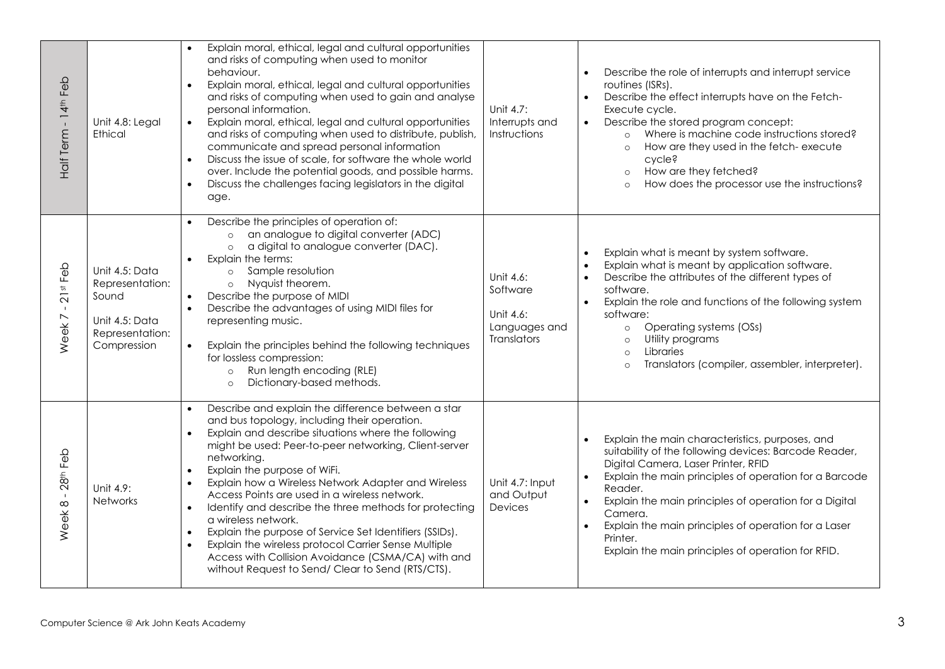| Half Term - 14 <sup>th</sup> Feb                          | Unit 4.8: Legal<br><b>Ethical</b>                                                              | Explain moral, ethical, legal and cultural opportunities<br>and risks of computing when used to monitor<br>behaviour.<br>Explain moral, ethical, legal and cultural opportunities<br>$\bullet$<br>and risks of computing when used to gain and analyse<br>personal information.<br>Explain moral, ethical, legal and cultural opportunities<br>$\bullet$<br>and risks of computing when used to distribute, publish,<br>communicate and spread personal information<br>Discuss the issue of scale, for software the whole world<br>$\bullet$<br>over. Include the potential goods, and possible harms.<br>Discuss the challenges facing legislators in the digital<br>$\bullet$<br>age.                                                                   | Unit 4.7:<br>Interrupts and<br>Instructions                               | Describe the role of interrupts and interrupt service<br>routines (ISRs).<br>Describe the effect interrupts have on the Fetch-<br>$\bullet$<br>Execute cycle.<br>Describe the stored program concept:<br>$\bullet$<br>Where is machine code instructions stored?<br>$\circ$<br>How are they used in the fetch- execute<br>$\circ$<br>cycle?<br>How are they fetched?<br>$\circ$<br>How does the processor use the instructions?<br>$\circ$    |
|-----------------------------------------------------------|------------------------------------------------------------------------------------------------|-----------------------------------------------------------------------------------------------------------------------------------------------------------------------------------------------------------------------------------------------------------------------------------------------------------------------------------------------------------------------------------------------------------------------------------------------------------------------------------------------------------------------------------------------------------------------------------------------------------------------------------------------------------------------------------------------------------------------------------------------------------|---------------------------------------------------------------------------|-----------------------------------------------------------------------------------------------------------------------------------------------------------------------------------------------------------------------------------------------------------------------------------------------------------------------------------------------------------------------------------------------------------------------------------------------|
| $21$ st Feb<br>$\blacksquare$<br>Week7                    | Unit 4.5: Data<br>Representation:<br>Sound<br>Unit 4.5: Data<br>Representation:<br>Compression | Describe the principles of operation of:<br>$\bullet$<br>an analogue to digital converter (ADC)<br>$\circ$<br>a digital to analogue converter (DAC).<br>$\circ$<br>Explain the terms:<br>Sample resolution<br>$\circ$<br>Nyquist theorem.<br>$\circ$<br>Describe the purpose of MIDI<br>$\bullet$<br>Describe the advantages of using MIDI files for<br>$\bullet$<br>representing music.<br>Explain the principles behind the following techniques<br>$\bullet$<br>for lossless compression:<br>Run length encoding (RLE)<br>$\circ$<br>Dictionary-based methods.<br>$\circ$                                                                                                                                                                              | Unit 4.6:<br>Software<br>Unit 4.6:<br>Languages and<br><b>Translators</b> | Explain what is meant by system software.<br>Explain what is meant by application software.<br>Describe the attributes of the different types of<br>software.<br>Explain the role and functions of the following system<br>$\bullet$<br>software:<br>Operating systems (OSs)<br>$\circ$<br>Utility programs<br>$\circ$<br>Libraries<br>$\circ$<br>Translators (compiler, assembler, interpreter).<br>$\circ$                                  |
| 28 <sup>th</sup> Feb<br>$\mathbf{I}$<br>Week <sup>8</sup> | Unit 4.9:<br><b>Networks</b>                                                                   | Describe and explain the difference between a star<br>and bus topology, including their operation.<br>Explain and describe situations where the following<br>$\bullet$<br>might be used: Peer-to-peer networking, Client-server<br>networking.<br>Explain the purpose of WiFi.<br>$\bullet$<br>Explain how a Wireless Network Adapter and Wireless<br>Access Points are used in a wireless network.<br>Identify and describe the three methods for protecting<br>$\bullet$<br>a wireless network.<br>Explain the purpose of Service Set Identifiers (SSIDs).<br>$\bullet$<br>Explain the wireless protocol Carrier Sense Multiple<br>$\bullet$<br>Access with Collision Avoidance (CSMA/CA) with and<br>without Request to Send/ Clear to Send (RTS/CTS). | Unit 4.7: Input<br>and Output<br>Devices                                  | Explain the main characteristics, purposes, and<br>suitability of the following devices: Barcode Reader,<br>Digital Camera, Laser Printer, RFID<br>Explain the main principles of operation for a Barcode<br>$\bullet$<br>Reader.<br>Explain the main principles of operation for a Digital<br>$\bullet$<br>Camera.<br>Explain the main principles of operation for a Laser<br>Printer.<br>Explain the main principles of operation for RFID. |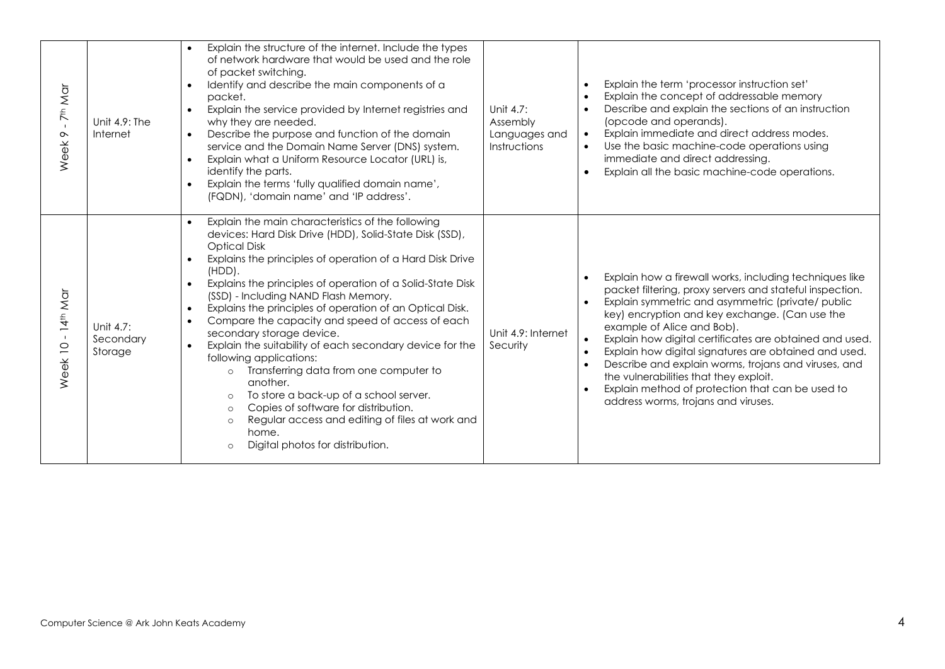| 7 <sup>th</sup> Mar<br>$\mathbf{I}$<br>$\sim$<br>Week | Unit 4.9: The<br><b>Internet</b>          | Explain the structure of the internet. Include the types<br>of network hardware that would be used and the role<br>of packet switching.<br>Identify and describe the main components of a<br>$\bullet$<br>packet.<br>Explain the service provided by Internet registries and<br>$\bullet$<br>why they are needed.<br>Describe the purpose and function of the domain<br>$\bullet$<br>service and the Domain Name Server (DNS) system.<br>Explain what a Uniform Resource Locator (URL) is,<br>$\bullet$<br>identify the parts.<br>Explain the terms 'fully qualified domain name',<br>$\bullet$<br>(FQDN), 'domain name' and 'IP address'.                                                                                                                                                                                                                                                                                           | Unit 4.7:<br>Assembly<br>Languages and<br>Instructions | Explain the term 'processor instruction set'<br>Explain the concept of addressable memory<br>Describe and explain the sections of an instruction<br>$\bullet$<br>(opcode and operands).<br>Explain immediate and direct address modes.<br>$\bullet$<br>Use the basic machine-code operations using<br>immediate and direct addressing.<br>Explain all the basic machine-code operations.                                                                                                                                                                                                            |
|-------------------------------------------------------|-------------------------------------------|--------------------------------------------------------------------------------------------------------------------------------------------------------------------------------------------------------------------------------------------------------------------------------------------------------------------------------------------------------------------------------------------------------------------------------------------------------------------------------------------------------------------------------------------------------------------------------------------------------------------------------------------------------------------------------------------------------------------------------------------------------------------------------------------------------------------------------------------------------------------------------------------------------------------------------------|--------------------------------------------------------|-----------------------------------------------------------------------------------------------------------------------------------------------------------------------------------------------------------------------------------------------------------------------------------------------------------------------------------------------------------------------------------------------------------------------------------------------------------------------------------------------------------------------------------------------------------------------------------------------------|
| 14 <sup>th</sup> Mar<br>$Week$ 10 -                   | Unit 4.7:<br>Secondary<br>Storage         | Explain the main characteristics of the following<br>$\bullet$<br>devices: Hard Disk Drive (HDD), Solid-State Disk (SSD),<br><b>Optical Disk</b><br>Explains the principles of operation of a Hard Disk Drive<br>$\bullet$<br>$(HDD)$ .<br>Explains the principles of operation of a Solid-State Disk<br>$\bullet$<br>(SSD) - Including NAND Flash Memory.<br>Explains the principles of operation of an Optical Disk.<br>$\bullet$<br>Compare the capacity and speed of access of each<br>$\bullet$<br>secondary storage device.<br>Explain the suitability of each secondary device for the<br>$\bullet$<br>following applications:<br>Transferring data from one computer to<br>$\circ$<br>another.<br>To store a back-up of a school server.<br>$\circ$<br>Copies of software for distribution.<br>$\circ$<br>Regular access and editing of files at work and<br>$\circ$<br>home.<br>Digital photos for distribution.<br>$\circ$ | Unit 4.9: Internet<br>Security                         | Explain how a firewall works, including techniques like<br>packet filtering, proxy servers and stateful inspection.<br>Explain symmetric and asymmetric (private/ public<br>$\bullet$<br>key) encryption and key exchange. (Can use the<br>example of Alice and Bob).<br>Explain how digital certificates are obtained and used.<br>Explain how digital signatures are obtained and used.<br>Describe and explain worms, trojans and viruses, and<br>$\bullet$<br>the vulnerabilities that they exploit.<br>Explain method of protection that can be used to<br>address worms, trojans and viruses. |
|                                                       | Computer Science @ Ark John Keats Academy |                                                                                                                                                                                                                                                                                                                                                                                                                                                                                                                                                                                                                                                                                                                                                                                                                                                                                                                                      |                                                        |                                                                                                                                                                                                                                                                                                                                                                                                                                                                                                                                                                                                     |